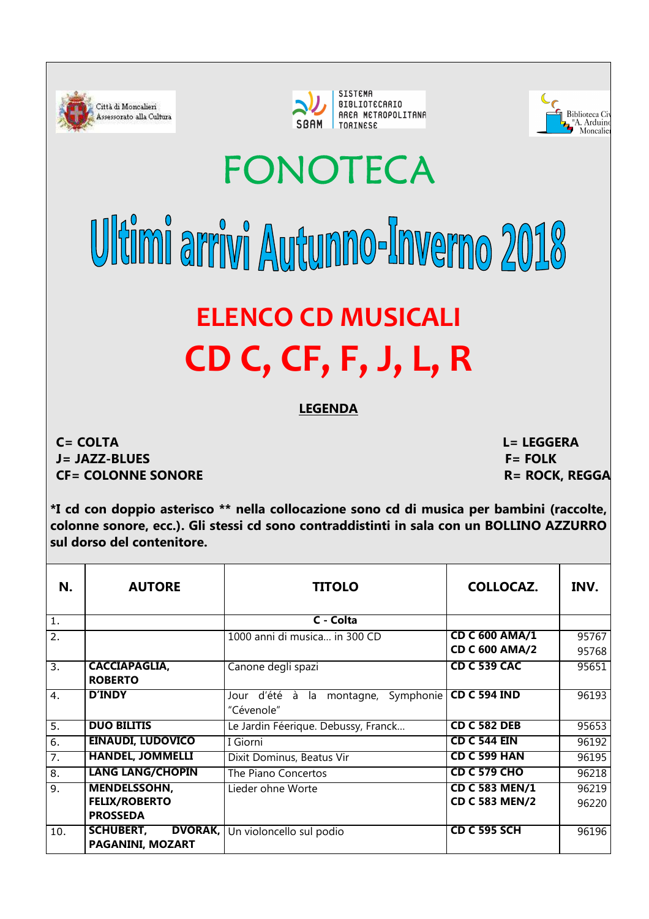





## FONOTECA

## Ultimi arrivi Autunno-linverno 2018 **ELENCO CD MUSICALI CD C, CF, F, J, L, R**

## **LEGENDA**

**C= COLTA J= JAZZ-BLUES CF= COLONNE SONORE** 

 **L= LEGGERA F= FOLK R= ROCK, REGGA** 

**\*I cd con doppio asterisco \*\* nella collocazione sono cd di musica per bambini (raccolte, colonne sonore, ecc.). Gli stessi cd sono contraddistinti in sala con un BOLLINO AZZURRO sul dorso del contenitore.** 

| N.               | <b>AUTORE</b>                      | <b>TITOLO</b>                                    | <b>COLLOCAZ.</b>      | INV.  |
|------------------|------------------------------------|--------------------------------------------------|-----------------------|-------|
| $\overline{1}$ . |                                    | C - Colta                                        |                       |       |
| $\overline{2}$ . |                                    | 1000 anni di musica in 300 CD                    | <b>CD C 600 AMA/1</b> | 95767 |
|                  |                                    |                                                  | <b>CD C 600 AMA/2</b> | 95768 |
| $\overline{3}$ . | <b>CACCIAPAGLIA,</b>               | Canone degli spazi                               | <b>CD C 539 CAC</b>   | 95651 |
|                  | <b>ROBERTO</b>                     |                                                  |                       |       |
| $\overline{4}$ . | <b>D'INDY</b>                      | d'été à<br>Symphonie<br>montagne,<br>Jour<br>la. | <b>CD C 594 IND</b>   | 96193 |
|                  |                                    | "Cévenole"                                       |                       |       |
| $\overline{5}$ . | <b>DUO BILITIS</b>                 | Le Jardin Féerique. Debussy, Franck              | <b>CD C 582 DEB</b>   | 95653 |
| $\overline{6}$ . | <b>EINAUDI, LUDOVICO</b>           | I Giorni                                         | <b>CD C 544 EIN</b>   | 96192 |
| 7.               | <b>HANDEL, JOMMELLI</b>            | Dixit Dominus, Beatus Vir                        | <b>CD C 599 HAN</b>   | 96195 |
| 8.               | <b>LANG LANG/CHOPIN</b>            | The Piano Concertos                              | <b>CD C 579 CHO</b>   | 96218 |
| $\overline{9}$ . | <b>MENDELSSOHN,</b>                | Lieder ohne Worte                                | <b>CD C 583 MEN/1</b> | 96219 |
|                  | <b>FELIX/ROBERTO</b>               |                                                  | <b>CD C 583 MEN/2</b> | 96220 |
|                  | <b>PROSSEDA</b>                    |                                                  |                       |       |
| 10.              | <b>SCHUBERT,</b><br><b>DVORAK,</b> | Un violoncello sul podio                         | <b>CD C 595 SCH</b>   | 96196 |
|                  | PAGANINI, MOZART                   |                                                  |                       |       |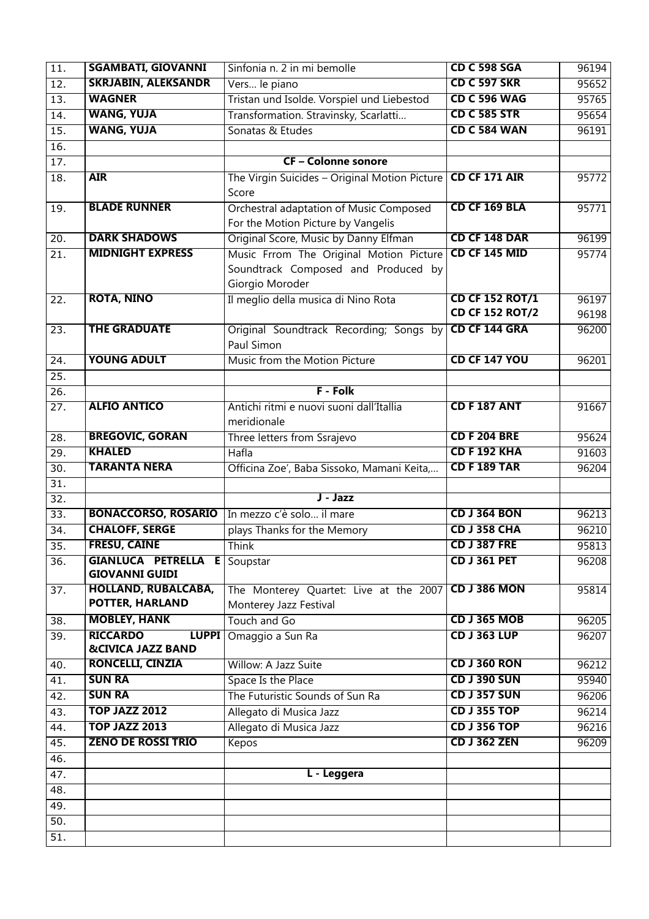| $\overline{11}$ . | <b>SGAMBATI, GIOVANNI</b>                           | Sinfonia n. 2 in mi bemolle                   | <b>CD C 598 SGA</b>    | 96194 |
|-------------------|-----------------------------------------------------|-----------------------------------------------|------------------------|-------|
| 12.               | <b>SKRJABIN, ALEKSANDR</b>                          | Vers le piano                                 | <b>CD C 597 SKR</b>    | 95652 |
| 13.               | <b>WAGNER</b>                                       | Tristan und Isolde. Vorspiel und Liebestod    | <b>CD C 596 WAG</b>    | 95765 |
| $\overline{14}$ . | <b>WANG, YUJA</b>                                   | Transformation. Stravinsky, Scarlatti         | <b>CD C 585 STR</b>    | 95654 |
| $\overline{15}$ . | <b>WANG, YUJA</b>                                   | Sonatas & Etudes                              | <b>CD C 584 WAN</b>    | 96191 |
| 16.               |                                                     |                                               |                        |       |
| $\overline{17}$ . |                                                     | <b>CF-Colonne sonore</b>                      |                        |       |
| $\overline{18}$ . | <b>AIR</b>                                          | The Virgin Suicides - Original Motion Picture | CD CF 171 AIR          | 95772 |
|                   |                                                     | Score                                         |                        |       |
| 19.               | <b>BLADE RUNNER</b>                                 | Orchestral adaptation of Music Composed       | CD CF 169 BLA          | 95771 |
|                   |                                                     | For the Motion Picture by Vangelis            |                        |       |
| $\overline{20}$ . | <b>DARK SHADOWS</b>                                 | Original Score, Music by Danny Elfman         | CD CF 148 DAR          | 96199 |
| $\overline{21}$ . | <b>MIDNIGHT EXPRESS</b>                             | Music Frrom The Original Motion Picture       | CD CF 145 MID          | 95774 |
|                   |                                                     | Soundtrack Composed and Produced by           |                        |       |
|                   |                                                     | Giorgio Moroder                               |                        |       |
| $\overline{22}$ . | <b>ROTA, NINO</b>                                   | Il meglio della musica di Nino Rota           | <b>CD CF 152 ROT/1</b> | 96197 |
|                   |                                                     |                                               | <b>CD CF 152 ROT/2</b> | 96198 |
| 23.               | <b>THE GRADUATE</b>                                 | Original Soundtrack Recording; Songs by       | CD CF 144 GRA          | 96200 |
|                   |                                                     | Paul Simon                                    |                        |       |
| 24.               | <b>YOUNG ADULT</b>                                  | Music from the Motion Picture                 | <b>CD CF 147 YOU</b>   | 96201 |
| 25.               |                                                     |                                               |                        |       |
| 26.               |                                                     | <b>F</b> - Folk                               |                        |       |
| 27.               | <b>ALFIO ANTICO</b>                                 | Antichi ritmi e nuovi suoni dall'Itallia      | <b>CD F 187 ANT</b>    | 91667 |
|                   |                                                     | meridionale                                   |                        |       |
| $\overline{28}$ . | <b>BREGOVIC, GORAN</b>                              | Three letters from Ssrajevo                   | <b>CD F 204 BRE</b>    | 95624 |
| 29.               | <b>KHALED</b>                                       | Hafla                                         | <b>CD F 192 KHA</b>    | 91603 |
| 30.               | <b>TARANTA NERA</b>                                 | Officina Zoe', Baba Sissoko, Mamani Keita,    | <b>CD F 189 TAR</b>    | 96204 |
| $\overline{31}$ . |                                                     |                                               |                        |       |
| 32.               |                                                     | J - Jazz                                      |                        |       |
| $\overline{33}$ . | <b>BONACCORSO, ROSARIO</b>                          | In mezzo c'è solo  il mare                    | <b>CD J 364 BON</b>    | 96213 |
| $\overline{34}$ . | <b>CHALOFF, SERGE</b>                               | plays Thanks for the Memory                   | <b>CD J 358 CHA</b>    | 96210 |
| $\overline{35}$ . | <b>FRESU, CAINE</b>                                 | Think                                         | <b>CD J 387 FRE</b>    | 95813 |
| 36.               | <b>GIANLUCA PETRELLA E</b><br><b>GIOVANNI GUIDI</b> | Soupstar                                      | <b>CD J 361 PET</b>    | 96208 |
| 37.               | <b>HOLLAND, RUBALCABA,</b>                          | The Monterey Quartet: Live at the 2007        | <b>CD J 386 MON</b>    | 95814 |
|                   | POTTER, HARLAND                                     | Monterey Jazz Festival                        |                        |       |
| $\overline{38}$ . | <b>MOBLEY, HANK</b>                                 | Touch and Go                                  | <b>CD J 365 MOB</b>    | 96205 |
| $\overline{39}$ . | <b>RICCARDO</b><br><b>LUPPI</b>                     | Omaggio a Sun Ra                              | <b>CD J 363 LUP</b>    | 96207 |
|                   | <b>&amp;CIVICA JAZZ BAND</b>                        |                                               |                        |       |
| 40.               | <b>RONCELLI, CINZIA</b>                             | Willow: A Jazz Suite                          | <b>CD J 360 RON</b>    | 96212 |
| 41.               | <b>SUN RA</b>                                       | Space Is the Place                            | <b>CD J 390 SUN</b>    | 95940 |
| 42.               | <b>SUN RA</b>                                       | The Futuristic Sounds of Sun Ra               | <b>CD J 357 SUN</b>    | 96206 |
| 43.               | <b>TOP JAZZ 2012</b>                                | Allegato di Musica Jazz                       | <b>CD J 355 TOP</b>    | 96214 |
| 44.               | <b>TOP JAZZ 2013</b>                                | Allegato di Musica Jazz                       | <b>CD J 356 TOP</b>    | 96216 |
| 45.               | <b>ZENO DE ROSSI TRIO</b>                           | Kepos                                         | <b>CD J 362 ZEN</b>    | 96209 |
| 46.               |                                                     |                                               |                        |       |
| $\overline{47}$ . |                                                     | L - Leggera                                   |                        |       |
| 48.               |                                                     |                                               |                        |       |
| 49.               |                                                     |                                               |                        |       |
| 50.               |                                                     |                                               |                        |       |
| 51.               |                                                     |                                               |                        |       |
|                   |                                                     |                                               |                        |       |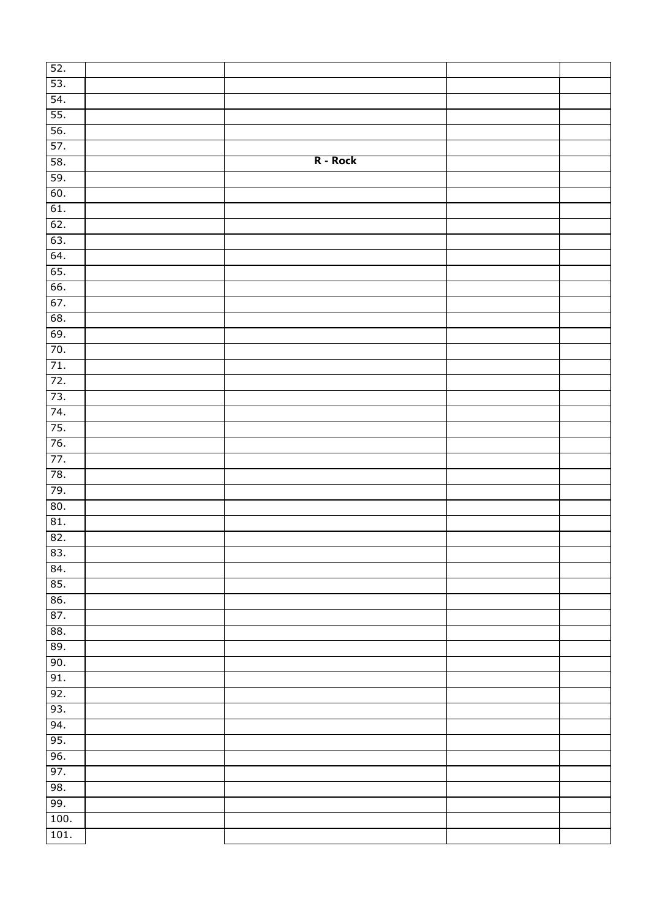| 52.  |          |  |
|------|----------|--|
| 53.  |          |  |
| 54.  |          |  |
| 55.  |          |  |
| 56.  |          |  |
| 57.  |          |  |
| 58.  | R - Rock |  |
| 59.  |          |  |
| 60.  |          |  |
| 61.  |          |  |
| 62.  |          |  |
| 63.  |          |  |
| 64.  |          |  |
| 65.  |          |  |
| 66.  |          |  |
| 67.  |          |  |
| 68.  |          |  |
| 69.  |          |  |
| 70.  |          |  |
| 71.  |          |  |
| 72.  |          |  |
| 73.  |          |  |
| 74.  |          |  |
| 75.  |          |  |
| 76.  |          |  |
| 77.  |          |  |
| 78.  |          |  |
| 79.  |          |  |
| 80.  |          |  |
| 81.  |          |  |
| 82.  |          |  |
| 83.  |          |  |
| 84.  |          |  |
| 85.  |          |  |
| 86.  |          |  |
| 87.  |          |  |
| 88.  |          |  |
| 89.  |          |  |
| 90.  |          |  |
| 91.  |          |  |
| 92.  |          |  |
| 93.  |          |  |
| 94.  |          |  |
| 95.  |          |  |
| 96.  |          |  |
| 97.  |          |  |
| 98.  |          |  |
| 99.  |          |  |
| 100. |          |  |
| 101. |          |  |